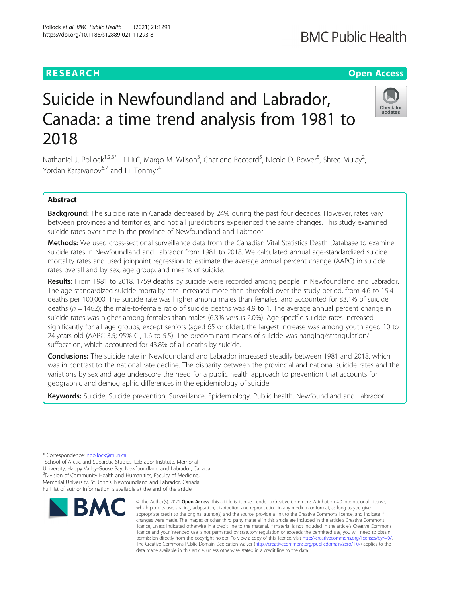# Suicide in Newfoundland and Labrador, Canada: a time trend analysis from 1981 to 2018

Nathaniel J. Pollock<sup>1,2,3\*</sup>, Li Liu<sup>4</sup>, Margo M. Wilson<sup>3</sup>, Charlene Reccord<sup>5</sup>, Nicole D. Power<sup>5</sup>, Shree Mulay<sup>2</sup> , Yordan Karaivanov<sup>6,7</sup> and Lil Tonmyr<sup>4</sup>

# Abstract

Background: The suicide rate in Canada decreased by 24% during the past four decades. However, rates vary between provinces and territories, and not all jurisdictions experienced the same changes. This study examined suicide rates over time in the province of Newfoundland and Labrador.

Methods: We used cross-sectional surveillance data from the Canadian Vital Statistics Death Database to examine suicide rates in Newfoundland and Labrador from 1981 to 2018. We calculated annual age-standardized suicide mortality rates and used joinpoint regression to estimate the average annual percent change (AAPC) in suicide rates overall and by sex, age group, and means of suicide.

Results: From 1981 to 2018, 1759 deaths by suicide were recorded among people in Newfoundland and Labrador. The age-standardized suicide mortality rate increased more than threefold over the study period, from 4.6 to 15.4 deaths per 100,000. The suicide rate was higher among males than females, and accounted for 83.1% of suicide deaths ( $n = 1462$ ); the male-to-female ratio of suicide deaths was 4.9 to 1. The average annual percent change in suicide rates was higher among females than males (6.3% versus 2.0%). Age-specific suicide rates increased significantly for all age groups, except seniors (aged 65 or older); the largest increase was among youth aged 10 to 24 years old (AAPC 3.5; 95% CI, 1.6 to 5.5). The predominant means of suicide was hanging/strangulation/ suffocation, which accounted for 43.8% of all deaths by suicide.

**Conclusions:** The suicide rate in Newfoundland and Labrador increased steadily between 1981 and 2018, which was in contrast to the national rate decline. The disparity between the provincial and national suicide rates and the variations by sex and age underscore the need for a public health approach to prevention that accounts for geographic and demographic differences in the epidemiology of suicide.

Keywords: Suicide, Suicide prevention, Surveillance, Epidemiology, Public health, Newfoundland and Labrador

\* Correspondence: [npollock@mun.ca](mailto:npollock@mun.ca) <sup>1</sup>

<sup>1</sup>School of Arctic and Subarctic Studies, Labrador Institute, Memorial University, Happy Valley-Goose Bay, Newfoundland and Labrador, Canada 2 Division of Community Health and Humanities, Faculty of Medicine, Memorial University, St. John's, Newfoundland and Labrador, Canada Full list of author information is available at the end of the article



<sup>©</sup> The Author(s), 2021 **Open Access** This article is licensed under a Creative Commons Attribution 4.0 International License, which permits use, sharing, adaptation, distribution and reproduction in any medium or format, as long as you give appropriate credit to the original author(s) and the source, provide a link to the Creative Commons licence, and indicate if changes were made. The images or other third party material in this article are included in the article's Creative Commons licence, unless indicated otherwise in a credit line to the material. If material is not included in the article's Creative Commons licence and your intended use is not permitted by statutory regulation or exceeds the permitted use, you will need to obtain permission directly from the copyright holder. To view a copy of this licence, visit [http://creativecommons.org/licenses/by/4.0/.](http://creativecommons.org/licenses/by/4.0/) The Creative Commons Public Domain Dedication waiver [\(http://creativecommons.org/publicdomain/zero/1.0/](http://creativecommons.org/publicdomain/zero/1.0/)) applies to the data made available in this article, unless otherwise stated in a credit line to the data.



# **RESEARCH CHE Open Access**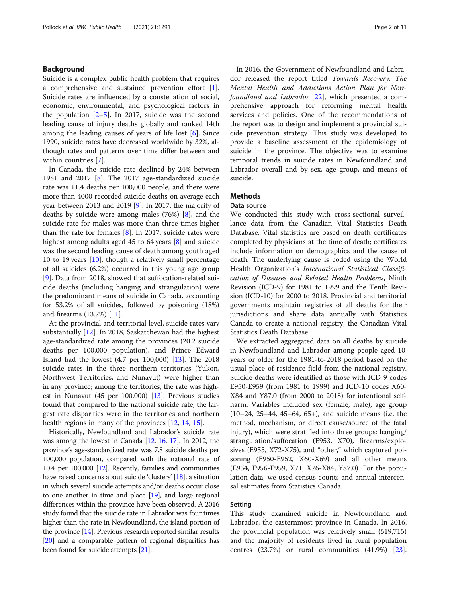# Background

Suicide is a complex public health problem that requires a comprehensive and sustained prevention effort [\[1](#page-8-0)]. Suicide rates are influenced by a constellation of social, economic, environmental, and psychological factors in the population  $[2-5]$  $[2-5]$  $[2-5]$  $[2-5]$ . In 2017, suicide was the second leading cause of injury deaths globally and ranked 14th among the leading causes of years of life lost [[6\]](#page-8-0). Since 1990, suicide rates have decreased worldwide by 32%, although rates and patterns over time differ between and within countries [\[7](#page-8-0)].

In Canada, the suicide rate declined by 24% between 1981 and 2017 [\[8](#page-8-0)]. The 2017 age-standardized suicide rate was 11.4 deaths per 100,000 people, and there were more than 4000 recorded suicide deaths on average each year between 2013 and 2019 [[9\]](#page-8-0). In 2017, the majority of deaths by suicide were among males (76%) [[8\]](#page-8-0), and the suicide rate for males was more than three times higher than the rate for females  $[8]$  $[8]$ . In 2017, suicide rates were highest among adults aged 45 to 64 years [[8\]](#page-8-0) and suicide was the second leading cause of death among youth aged 10 to 19 years [\[10](#page-9-0)], though a relatively small percentage of all suicides (6.2%) occurred in this young age group [[9\]](#page-8-0). Data from 2018, showed that suffocation-related suicide deaths (including hanging and strangulation) were the predominant means of suicide in Canada, accounting for 53.2% of all suicides, followed by poisoning (18%) and firearms (13.7%) [\[11](#page-9-0)].

At the provincial and territorial level, suicide rates vary substantially [\[12](#page-9-0)]. In 2018, Saskatchewan had the highest age-standardized rate among the provinces (20.2 suicide deaths per 100,000 population), and Prince Edward Island had the lowest (4.7 per 100,000) [\[13\]](#page-9-0). The 2018 suicide rates in the three northern territories (Yukon, Northwest Territories, and Nunavut) were higher than in any province; among the territories, the rate was highest in Nunavut (45 per 100,000) [\[13\]](#page-9-0). Previous studies found that compared to the national suicide rate, the largest rate disparities were in the territories and northern health regions in many of the provinces [[12](#page-9-0), [14](#page-9-0), [15](#page-9-0)].

Historically, Newfoundland and Labrador's suicide rate was among the lowest in Canada [\[12](#page-9-0), [16](#page-9-0), [17\]](#page-9-0). In 2012, the province's age-standardized rate was 7.8 suicide deaths per 100,000 population, compared with the national rate of 10.4 per 100,000 [\[12\]](#page-9-0). Recently, families and communities have raised concerns about suicide 'clusters' [\[18](#page-9-0)], a situation in which several suicide attempts and/or deaths occur close to one another in time and place [[19\]](#page-9-0), and large regional differences within the province have been observed. A 2016 study found that the suicide rate in Labrador was four times higher than the rate in Newfoundland, the island portion of the province [\[14\]](#page-9-0). Previous research reported similar results [[20](#page-9-0)] and a comparable pattern of regional disparities has been found for suicide attempts [\[21\]](#page-9-0).

In 2016, the Government of Newfoundland and Labrador released the report titled Towards Recovery: The Mental Health and Addictions Action Plan for New-foundland and Labrador [\[22](#page-9-0)], which presented a comprehensive approach for reforming mental health services and policies. One of the recommendations of the report was to design and implement a provincial suicide prevention strategy. This study was developed to provide a baseline assessment of the epidemiology of suicide in the province. The objective was to examine temporal trends in suicide rates in Newfoundland and Labrador overall and by sex, age group, and means of suicide.

# **Methods**

# Data source

We conducted this study with cross-sectional surveillance data from the Canadian Vital Statistics Death Database. Vital statistics are based on death certificates completed by physicians at the time of death; certificates include information on demographics and the cause of death. The underlying cause is coded using the World Health Organization's International Statistical Classification of Diseases and Related Health Problems, Ninth Revision (ICD-9) for 1981 to 1999 and the Tenth Revision (ICD-10) for 2000 to 2018. Provincial and territorial governments maintain registries of all deaths for their jurisdictions and share data annually with Statistics Canada to create a national registry, the Canadian Vital Statistics Death Database.

We extracted aggregated data on all deaths by suicide in Newfoundland and Labrador among people aged 10 years or older for the 1981-to-2018 period based on the usual place of residence field from the national registry. Suicide deaths were identified as those with ICD-9 codes E950-E959 (from 1981 to 1999) and ICD-10 codes X60- X84 and Y87.0 (from 2000 to 2018) for intentional selfharm. Variables included sex (female, male), age group (10–24, 25–44, 45–64, 65+), and suicide means (i.e. the method, mechanism, or direct cause/source of the fatal injury), which were stratified into three groups: hanging/ strangulation/suffocation (E953, X70), firearms/explosives (E955, X72-X75), and "other," which captured poisoning (E950-E952, X60-X69) and all other means (E954, E956-E959, X71, X76-X84, Y87.0). For the population data, we used census counts and annual intercensal estimates from Statistics Canada.

# Setting

This study examined suicide in Newfoundland and Labrador, the easternmost province in Canada. In 2016, the provincial population was relatively small (519,715) and the majority of residents lived in rural population centres (23.7%) or rural communities (41.9%) [\[23](#page-9-0)].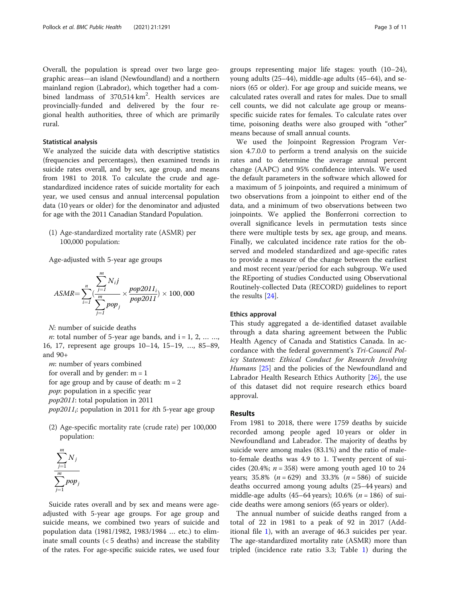Overall, the population is spread over two large geographic areas—an island (Newfoundland) and a northern mainland region (Labrador), which together had a combined landmass of  $370,514 \text{ km}^2$ . Health services are provincially-funded and delivered by the four regional health authorities, three of which are primarily rural.

# Statistical analysis

We analyzed the suicide data with descriptive statistics (frequencies and percentages), then examined trends in suicide rates overall, and by sex, age group, and means from 1981 to 2018. To calculate the crude and agestandardized incidence rates of suicide mortality for each year, we used census and annual intercensal population data (10 years or older) for the denominator and adjusted for age with the 2011 Canadian Standard Population.

(1) Age-standardized mortality rate (ASMR) per 100,000 population:

Age-adjusted with 5-year age groups

 $\boldsymbol{m}$ 

$$
ASMR = \sum_{i=1}^{n} \underbrace{\left(\frac{j=1}{m} N_i j\right)}_{j=1} \times \frac{pop2011_i}{pop2011} \times 100,000
$$

N: number of suicide deaths

 $n:$  total number of 5-year age bands, and  $i = 1, 2, ... ...$ 16, 17, represent age groups 10–14, 15–19, …, 85–89, and 90+

m: number of years combined

for overall and by gender:  $m = 1$ 

for age group and by cause of death:  $m = 2$ 

pop: population in a specific year

pop2011: total population in 2011

 $pop2011$ <sub>i</sub>: population in 2011 for *i*th 5-year age group

(2) Age-specific mortality rate (crude rate) per 100,000 population:



Suicide rates overall and by sex and means were ageadjusted with 5-year age groups. For age group and suicide means, we combined two years of suicide and population data (1981/1982, 1983/1984 … etc.) to eliminate small counts  $(< 5$  deaths) and increase the stability of the rates. For age-specific suicide rates, we used four groups representing major life stages: youth (10–24), young adults (25–44), middle-age adults (45–64), and seniors (65 or older). For age group and suicide means, we calculated rates overall and rates for males. Due to small cell counts, we did not calculate age group or meansspecific suicide rates for females. To calculate rates over time, poisoning deaths were also grouped with "other" means because of small annual counts.

We used the Joinpoint Regression Program Version 4.7.0.0 to perform a trend analysis on the suicide rates and to determine the average annual percent change (AAPC) and 95% confidence intervals. We used the default parameters in the software which allowed for a maximum of 5 joinpoints, and required a minimum of two observations from a joinpoint to either end of the data, and a minimum of two observations between two joinpoints. We applied the Bonferroni correction to overall significance levels in permutation tests since there were multiple tests by sex, age group, and means. Finally, we calculated incidence rate ratios for the observed and modeled standardized and age-specific rates to provide a measure of the change between the earliest and most recent year/period for each subgroup. We used the REporting of studies Conducted using Observational Routinely-collected Data (RECORD) guidelines to report the results [\[24](#page-9-0)].

# Ethics approval

This study aggregated a de-identified dataset available through a data sharing agreement between the Public Health Agency of Canada and Statistics Canada. In accordance with the federal government's Tri-Council Policy Statement: Ethical Conduct for Research Involving Humans [\[25\]](#page-9-0) and the policies of the Newfoundland and Labrador Health Research Ethics Authority [\[26](#page-9-0)], the use of this dataset did not require research ethics board approval.

# Results

From 1981 to 2018, there were 1759 deaths by suicide recorded among people aged 10 years or older in Newfoundland and Labrador. The majority of deaths by suicide were among males (83.1%) and the ratio of maleto-female deaths was 4.9 to 1. Twenty percent of suicides (20.4%;  $n = 358$ ) were among youth aged 10 to 24 years; 35.8% ( $n = 629$ ) and 33.3% ( $n = 586$ ) of suicide deaths occurred among young adults (25–44 years) and middle-age adults (45–64 years); 10.6% ( $n = 186$ ) of suicide deaths were among seniors (65 years or older).

The annual number of suicide deaths ranged from a total of 22 in 1981 to a peak of 92 in 2017 (Additional file [1](#page-8-0)), with an average of 46.3 suicides per year. The age-standardized mortality rate (ASMR) more than tripled (incidence rate ratio 3.3; Table [1](#page-3-0)) during the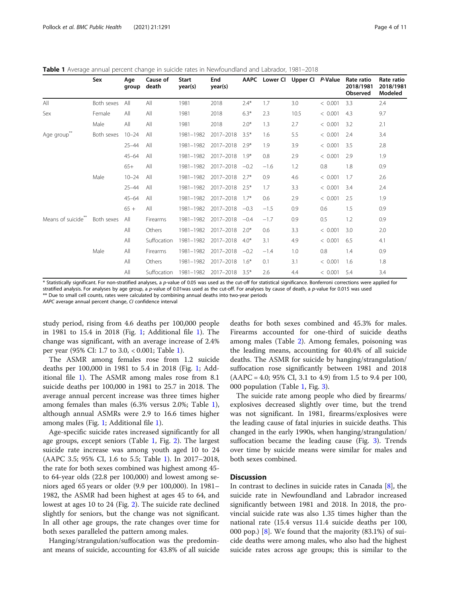<span id="page-3-0"></span>

| <b>Table 1</b> Average annual percent change in suicide rates in Newfoundland and Labrador, 1981–2018 |  |  |
|-------------------------------------------------------------------------------------------------------|--|--|
|                                                                                                       |  |  |

|                    | Sex        | Age<br>group | Cause of<br>death | <b>Start</b><br>year(s) | End<br>year(s) |        |        | AAPC Lower CI Upper CI P-Value |         | Rate ratio<br>2018/1981<br><b>Observed</b> | Rate ratio<br>2018/1981<br>Modeled |
|--------------------|------------|--------------|-------------------|-------------------------|----------------|--------|--------|--------------------------------|---------|--------------------------------------------|------------------------------------|
| All                | Both sexes | All          | All               | 1981                    | 2018           | $2.4*$ | 1.7    | 3.0                            | < 0.001 | 3.3                                        | 2.4                                |
| Sex                | Female     | All          | All               | 1981                    | 2018           | $6.3*$ | 2.3    | 10.5                           | < 0.001 | 4.3                                        | 9.7                                |
|                    | Male       | All          | All               | 1981                    | 2018           | $2.0*$ | 1.3    | 2.7                            | < 0.001 | 3.2                                        | 2.1                                |
| Age group          | Both sexes | $10 - 24$    | All               | 1981-1982               | 2017-2018      | $3.5*$ | 1.6    | 5.5                            | < 0.001 | 2.4                                        | 3.4                                |
|                    |            | $25 - 44$    | All               | 1981-1982               | 2017-2018      | $2.9*$ | 1.9    | 3.9                            | < 0.001 | 3.5                                        | 2.8                                |
|                    |            | $45 - 64$    | All               | 1981-1982               | 2017-2018      | $1.9*$ | 0.8    | 2.9                            | < 0.001 | 2.9                                        | 1.9                                |
|                    |            | $65+$        | All               | 1981-1982               | 2017-2018      | $-0.2$ | $-1.6$ | 1.2                            | 0.8     | 1.8                                        | 0.9                                |
|                    | Male       | $10 - 24$    | All               | 1981-1982               | 2017-2018      | $2.7*$ | 0.9    | 4.6                            | < 0.001 | 1.7                                        | 2.6                                |
|                    |            | $25 - 44$    | All               | 1981-1982               | 2017-2018      | $2.5*$ | 1.7    | 3.3                            | < 0.001 | 3.4                                        | 2.4                                |
|                    |            | $45 - 64$    | All               | 1981-1982               | 2017-2018      | $1.7*$ | 0.6    | 2.9                            | < 0.001 | 2.5                                        | 1.9                                |
|                    |            | $65+$        | All               | 1981-1982               | 2017-2018      | $-0.3$ | $-1.5$ | 0.9                            | 0.6     | 1.5                                        | 0.9                                |
| Means of suicide** | Both sexes | All          | Firearms          | 1981-1982               | 2017-2018      | $-0.4$ | $-1.7$ | 0.9                            | 0.5     | 1.2                                        | 0.9                                |
|                    |            | All          | Others            | 1981-1982               | 2017-2018      | $2.0*$ | 0.6    | 3.3                            | < 0.001 | 3.0                                        | 2.0                                |
|                    |            | All          | Suffocation       | 1981-1982               | 2017-2018      | $4.0*$ | 3.1    | 4.9                            | < 0.001 | 6.5                                        | 4.1                                |
|                    | Male       | All          | Firearms          | 1981-1982               | 2017-2018      | $-0.2$ | $-1.4$ | 1.0                            | 0.8     | 1.4                                        | 0.9                                |
|                    |            | All          | Others            | 1981-1982               | 2017-2018      | $1.6*$ | 0.1    | 3.1                            | < 0.001 | 1.6                                        | 1.8                                |
|                    |            | All          | Suffocation       | 1981-1982               | 2017-2018      | $3.5*$ | 2.6    | 4.4                            | < 0.001 | 5.4                                        | 3.4                                |

\* Statistically significant. For non-stratified analyses, a p-value of 0.05 was used as the cut-off for statistical significance. Bonferroni corrections were applied for stratified analysis. For analyses by age group, a p-value of 0.01was used as the cut-off. For analyses by cause of death, a p-value for 0.015 was used \*\* Due to small cell counts, rates were calculated by combining annual deaths into two-year periods

AAPC average annual percent change, CI confidence interval

study period, rising from 4.6 deaths per 100,000 people in 1981 to 15.4 in 2018 (Fig. [1](#page-4-0); Additional file [1\)](#page-8-0). The change was significant, with an average increase of 2.4% per year (95% CI: 1.7 to 3.0, < 0.001; Table 1).

The ASMR among females rose from 1.2 suicide deaths per 100,000 in 1981 to 5.4 in 2018 (Fig. [1;](#page-4-0) Additional file [1](#page-8-0)). The ASMR among males rose from 8.1 suicide deaths per 100,000 in 1981 to 25.7 in 2018. The average annual percent increase was three times higher among females than males (6.3% versus 2.0%; Table 1), although annual ASMRs were 2.9 to 16.6 times higher among males (Fig. [1](#page-4-0); Additional file [1\)](#page-8-0).

Age-specific suicide rates increased significantly for all age groups, except seniors (Table 1, Fig. [2\)](#page-4-0). The largest suicide rate increase was among youth aged 10 to 24 (AAPC 3.5; 95% CI, 1.6 to 5.5; Table 1). In 2017–2018, the rate for both sexes combined was highest among 45 to 64-year olds (22.8 per 100,000) and lowest among seniors aged 65 years or older (9.9 per 100,000). In 1981– 1982, the ASMR had been highest at ages 45 to 64, and lowest at ages 10 to 24 (Fig. [2\)](#page-4-0). The suicide rate declined slightly for seniors, but the change was not significant. In all other age groups, the rate changes over time for both sexes paralleled the pattern among males.

Hanging/strangulation/suffocation was the predominant means of suicide, accounting for 43.8% of all suicide

deaths for both sexes combined and 45.3% for males. Firearms accounted for one-third of suicide deaths among males (Table [2](#page-5-0)). Among females, poisoning was the leading means, accounting for 40.4% of all suicide deaths. The ASMR for suicide by hanging/strangulation/ suffocation rose significantly between 1981 and 2018 (AAPC = 4.0; 95% CI, 3.1 to 4.9) from 1.5 to 9.4 per 100, 000 population (Table 1, Fig. [3\)](#page-5-0).

The suicide rate among people who died by firearms/ explosives decreased slightly over time, but the trend was not significant. In 1981, firearms/explosives were the leading cause of fatal injuries in suicide deaths. This changed in the early 1990s, when hanging/strangulation/ suffocation became the leading cause (Fig. [3](#page-5-0)). Trends over time by suicide means were similar for males and both sexes combined.

# **Discussion**

In contrast to declines in suicide rates in Canada [\[8](#page-8-0)], the suicide rate in Newfoundland and Labrador increased significantly between 1981 and 2018. In 2018, the provincial suicide rate was also 1.35 times higher than the national rate (15.4 versus 11.4 suicide deaths per 100, 000 pop.) [[8\]](#page-8-0). We found that the majority (83.1%) of suicide deaths were among males, who also had the highest suicide rates across age groups; this is similar to the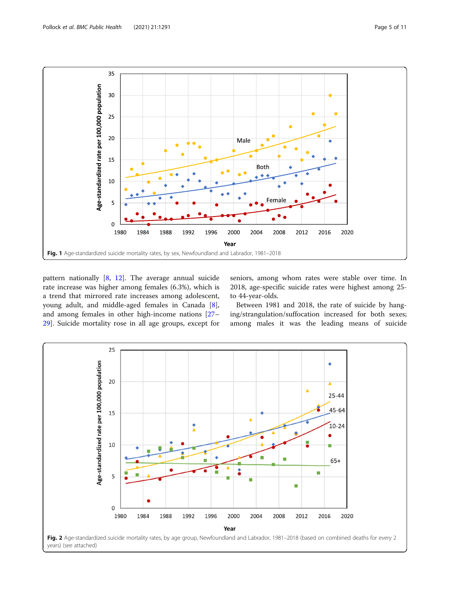<span id="page-4-0"></span>

pattern nationally  $[8, 12]$  $[8, 12]$  $[8, 12]$  $[8, 12]$ . The average annual suicide rate increase was higher among females (6.3%), which is a trend that mirrored rate increases among adolescent, young adult, and middle-aged females in Canada [\[8](#page-8-0)], and among females in other high-income nations [[27](#page-9-0)– [29\]](#page-9-0). Suicide mortality rose in all age groups, except for

seniors, among whom rates were stable over time. In 2018, age-specific suicide rates were highest among 25 to 44-year-olds.

Between 1981 and 2018, the rate of suicide by hanging/strangulation/suffocation increased for both sexes; among males it was the leading means of suicide

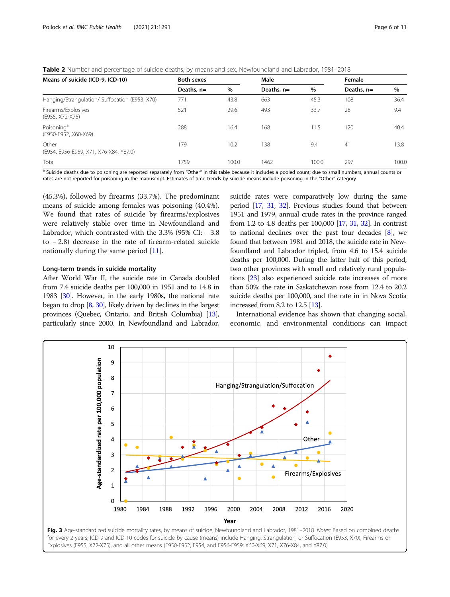<span id="page-5-0"></span>Table 2 Number and percentage of suicide deaths, by means and sex, Newfoundland and Labrador, 1981–2018

| Both sexes   |       | Male         |       |              | Female |  |
|--------------|-------|--------------|-------|--------------|--------|--|
| Deaths, $n=$ | $\%$  | Deaths, $n=$ | $\%$  | Deaths, $n=$ | $\%$   |  |
| 77'          | 43.8  | 663          | 45.3  | 108          | 36.4   |  |
| 521          | 29.6  | 493          | 33.7  | 28           | 9.4    |  |
| 288          | 16.4  | 168          | 11.5  | 120          | 40.4   |  |
| 179          | 10.2  | 138          | 9.4   | 41           | 13.8   |  |
| 1759         | 100.0 | 1462         | 100.0 | 297          | 100.C  |  |
|              |       |              |       |              |        |  |

a Suicide deaths due to poisoning are reported separately from "Other" in this table because it includes a pooled count; due to small numbers, annual counts or rates are not reported for poisoning in the manuscript. Estimates of time trends by suicide means include poisoning in the "Other" category

(45.3%), followed by firearms (33.7%). The predominant means of suicide among females was poisoning (40.4%). We found that rates of suicide by firearms/explosives were relatively stable over time in Newfoundland and Labrador, which contrasted with the  $3.3\%$  (95% CI:  $-3.8$ ) to − 2.8) decrease in the rate of firearm-related suicide nationally during the same period [\[11](#page-9-0)].

## Long-term trends in suicide mortality

After World War II, the suicide rate in Canada doubled from 7.4 suicide deaths per 100,000 in 1951 and to 14.8 in 1983 [\[30](#page-9-0)]. However, in the early 1980s, the national rate began to drop [\[8,](#page-8-0) [30](#page-9-0)], likely driven by declines in the largest provinces (Quebec, Ontario, and British Columbia) [\[13](#page-9-0)], particularly since 2000. In Newfoundland and Labrador, suicide rates were comparatively low during the same period [\[17,](#page-9-0) [31,](#page-9-0) [32](#page-9-0)]. Previous studies found that between 1951 and 1979, annual crude rates in the province ranged from 1.2 to 4.8 deaths per 100,000 [\[17,](#page-9-0) [31](#page-9-0), [32](#page-9-0)]. In contrast to national declines over the past four decades [[8](#page-8-0)], we found that between 1981 and 2018, the suicide rate in Newfoundland and Labrador tripled, from 4.6 to 15.4 suicide deaths per 100,000. During the latter half of this period, two other provinces with small and relatively rural populations [\[23](#page-9-0)] also experienced suicide rate increases of more than 50%: the rate in Saskatchewan rose from 12.4 to 20.2 suicide deaths per 100,000, and the rate in in Nova Scotia increased from 8.2 to 12.5 [\[13](#page-9-0)].

International evidence has shown that changing social, economic, and environmental conditions can impact

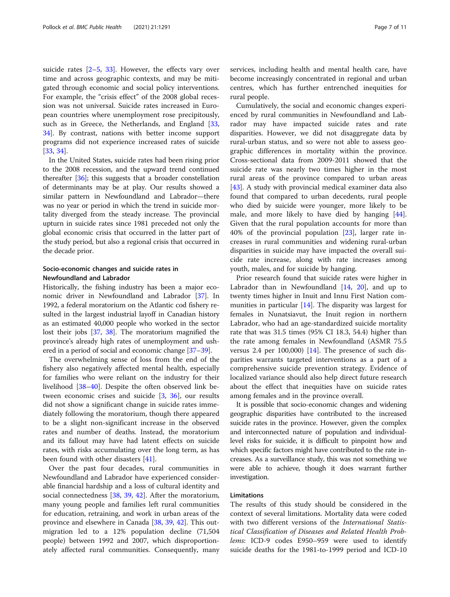suicide rates [[2](#page-8-0)–[5,](#page-8-0) [33](#page-9-0)]. However, the effects vary over time and across geographic contexts, and may be mitigated through economic and social policy interventions. For example, the "crisis effect" of the 2008 global recession was not universal. Suicide rates increased in European countries where unemployment rose precipitously, such as in Greece, the Netherlands, and England [[33](#page-9-0), [34\]](#page-9-0). By contrast, nations with better income support programs did not experience increased rates of suicide [[33,](#page-9-0) [34\]](#page-9-0).

In the United States, suicide rates had been rising prior to the 2008 recession, and the upward trend continued thereafter [\[36\]](#page-9-0); this suggests that a broader constellation of determinants may be at play. Our results showed a similar pattern in Newfoundland and Labrador—there was no year or period in which the trend in suicide mortality diverged from the steady increase. The provincial upturn in suicide rates since 1981 preceded not only the global economic crisis that occurred in the latter part of the study period, but also a regional crisis that occurred in the decade prior.

# Socio-economic changes and suicide rates in Newfoundland and Labrador

Historically, the fishing industry has been a major economic driver in Newfoundland and Labrador [\[37\]](#page-9-0). In 1992, a federal moratorium on the Atlantic cod fishery resulted in the largest industrial layoff in Canadian history as an estimated 40,000 people who worked in the sector lost their jobs [\[37,](#page-9-0) [38](#page-9-0)]. The moratorium magnified the province's already high rates of unemployment and ushered in a period of social and economic change [\[37](#page-9-0)–[39\]](#page-9-0).

The overwhelming sense of loss from the end of the fishery also negatively affected mental health, especially for families who were reliant on the industry for their livelihood [\[38](#page-9-0)–[40\]](#page-9-0). Despite the often observed link between economic crises and suicide [\[3](#page-8-0), [36\]](#page-9-0), our results did not show a significant change in suicide rates immediately following the moratorium, though there appeared to be a slight non-significant increase in the observed rates and number of deaths. Instead, the moratorium and its fallout may have had latent effects on suicide rates, with risks accumulating over the long term, as has been found with other disasters [\[41\]](#page-9-0).

Over the past four decades, rural communities in Newfoundland and Labrador have experienced considerable financial hardship and a loss of cultural identity and social connectedness [[38,](#page-9-0) [39](#page-9-0), [42](#page-9-0)]. After the moratorium, many young people and families left rural communities for education, retraining, and work in urban areas of the province and elsewhere in Canada [[38,](#page-9-0) [39,](#page-9-0) [42\]](#page-9-0). This outmigration led to a 12% population decline (71,504 people) between 1992 and 2007, which disproportionately affected rural communities. Consequently, many services, including health and mental health care, have become increasingly concentrated in regional and urban centres, which has further entrenched inequities for rural people.

Cumulatively, the social and economic changes experienced by rural communities in Newfoundland and Labrador may have impacted suicide rates and rate disparities. However, we did not disaggregate data by rural-urban status, and so were not able to assess geographic differences in mortality within the province. Cross-sectional data from 2009-2011 showed that the suicide rate was nearly two times higher in the most rural areas of the province compared to urban areas [[43\]](#page-9-0). A study with provincial medical examiner data also found that compared to urban decedents, rural people who died by suicide were younger, more likely to be male, and more likely to have died by hanging [\[44](#page-9-0)]. Given that the rural population accounts for more than 40% of the provincial population [[23\]](#page-9-0), larger rate increases in rural communities and widening rural-urban disparities in suicide may have impacted the overall suicide rate increase, along with rate increases among youth, males, and for suicide by hanging.

Prior research found that suicide rates were higher in Labrador than in Newfoundland [[14](#page-9-0), [20](#page-9-0)], and up to twenty times higher in Inuit and Innu First Nation communities in particular [\[14](#page-9-0)]. The disparity was largest for females in Nunatsiavut, the Inuit region in northern Labrador, who had an age-standardized suicide mortality rate that was 31.5 times (95% CI 18.3, 54.4) higher than the rate among females in Newfoundland (ASMR 75.5 versus 2.4 per  $100,000$  [\[14](#page-9-0)]. The presence of such disparities warrants targeted interventions as a part of a comprehensive suicide prevention strategy. Evidence of localized variance should also help direct future research about the effect that inequities have on suicide rates among females and in the province overall.

It is possible that socio-economic changes and widening geographic disparities have contributed to the increased suicide rates in the province. However, given the complex and interconnected nature of population and individuallevel risks for suicide, it is difficult to pinpoint how and which specific factors might have contributed to the rate increases. As a surveillance study, this was not something we were able to achieve, though it does warrant further investigation.

# Limitations

The results of this study should be considered in the context of several limitations. Mortality data were coded with two different versions of the International Statistical Classification of Diseases and Related Health Problems: ICD-9 codes E950–959 were used to identify suicide deaths for the 1981-to-1999 period and ICD-10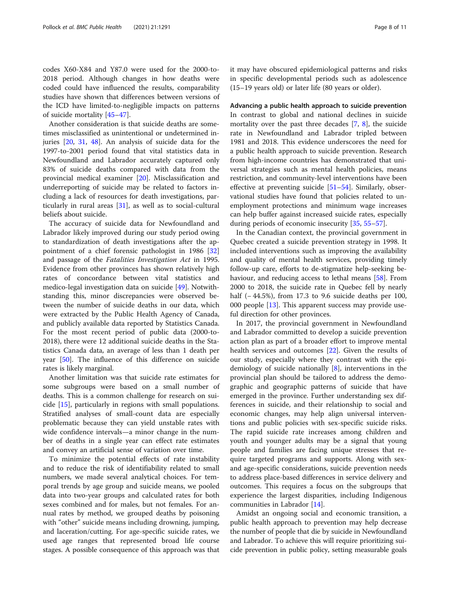codes X60-X84 and Y87.0 were used for the 2000-to-2018 period. Although changes in how deaths were coded could have influenced the results, comparability studies have shown that differences between versions of the ICD have limited-to-negligible impacts on patterns of suicide mortality [\[45](#page-9-0)–[47\]](#page-9-0).

Another consideration is that suicide deaths are sometimes misclassified as unintentional or undetermined injuries [[20,](#page-9-0) [31](#page-9-0), [48](#page-9-0)]. An analysis of suicide data for the 1997-to-2001 period found that vital statistics data in Newfoundland and Labrador accurately captured only 83% of suicide deaths compared with data from the provincial medical examiner [[20\]](#page-9-0). Misclassification and underreporting of suicide may be related to factors including a lack of resources for death investigations, particularly in rural areas [[31\]](#page-9-0), as well as to social-cultural beliefs about suicide.

The accuracy of suicide data for Newfoundland and Labrador likely improved during our study period owing to standardization of death investigations after the appointment of a chief forensic pathologist in 1986 [[32](#page-9-0)] and passage of the Fatalities Investigation Act in 1995. Evidence from other provinces has shown relatively high rates of concordance between vital statistics and medico-legal investigation data on suicide [\[49\]](#page-9-0). Notwithstanding this, minor discrepancies were observed between the number of suicide deaths in our data, which were extracted by the Public Health Agency of Canada, and publicly available data reported by Statistics Canada. For the most recent period of public data (2000-to-2018), there were 12 additional suicide deaths in the Statistics Canada data, an average of less than 1 death per year [\[50\]](#page-10-0). The influence of this difference on suicide rates is likely marginal.

Another limitation was that suicide rate estimates for some subgroups were based on a small number of deaths. This is a common challenge for research on suicide [\[15\]](#page-9-0), particularly in regions with small populations. Stratified analyses of small-count data are especially problematic because they can yield unstable rates with wide confidence intervals—a minor change in the number of deaths in a single year can effect rate estimates and convey an artificial sense of variation over time.

To minimize the potential effects of rate instability and to reduce the risk of identifiability related to small numbers, we made several analytical choices. For temporal trends by age group and suicide means, we pooled data into two-year groups and calculated rates for both sexes combined and for males, but not females. For annual rates by method, we grouped deaths by poisoning with "other" suicide means including drowning, jumping, and laceration/cutting. For age-specific suicide rates, we used age ranges that represented broad life course stages. A possible consequence of this approach was that it may have obscured epidemiological patterns and risks in specific developmental periods such as adolescence (15–19 years old) or later life (80 years or older).

Advancing a public health approach to suicide prevention In contrast to global and national declines in suicide mortality over the past three decades [\[7](#page-8-0), [8](#page-8-0)], the suicide rate in Newfoundland and Labrador tripled between 1981 and 2018. This evidence underscores the need for a public health approach to suicide prevention. Research from high-income countries has demonstrated that universal strategies such as mental health policies, means restriction, and community-level interventions have been effective at preventing suicide [\[51](#page-10-0)–[54\]](#page-10-0). Similarly, observational studies have found that policies related to unemployment protections and minimum wage increases can help buffer against increased suicide rates, especially during periods of economic insecurity [[35,](#page-9-0) [55](#page-10-0)–[57](#page-10-0)].

In the Canadian context, the provincial government in Quebec created a suicide prevention strategy in 1998. It included interventions such as improving the availability and quality of mental health services, providing timely follow-up care, efforts to de-stigmatize help-seeking be-haviour, and reducing access to lethal means [[58\]](#page-10-0). From 2000 to 2018, the suicide rate in Quebec fell by nearly half (−44.5%), from 17.3 to 9.6 suicide deaths per 100, 000 people [[13\]](#page-9-0). This apparent success may provide useful direction for other provinces.

In 2017, the provincial government in Newfoundland and Labrador committed to develop a suicide prevention action plan as part of a broader effort to improve mental health services and outcomes [\[22](#page-9-0)]. Given the results of our study, especially where they contrast with the epidemiology of suicide nationally [\[8\]](#page-8-0), interventions in the provincial plan should be tailored to address the demographic and geographic patterns of suicide that have emerged in the province. Further understanding sex differences in suicide, and their relationship to social and economic changes, may help align universal interventions and public policies with sex-specific suicide risks. The rapid suicide rate increases among children and youth and younger adults may be a signal that young people and families are facing unique stresses that require targeted programs and supports. Along with sexand age-specific considerations, suicide prevention needs to address place-based differences in service delivery and outcomes. This requires a focus on the subgroups that experience the largest disparities, including Indigenous communities in Labrador [[14\]](#page-9-0).

Amidst an ongoing social and economic transition, a public health approach to prevention may help decrease the number of people that die by suicide in Newfoundland and Labrador. To achieve this will require prioritizing suicide prevention in public policy, setting measurable goals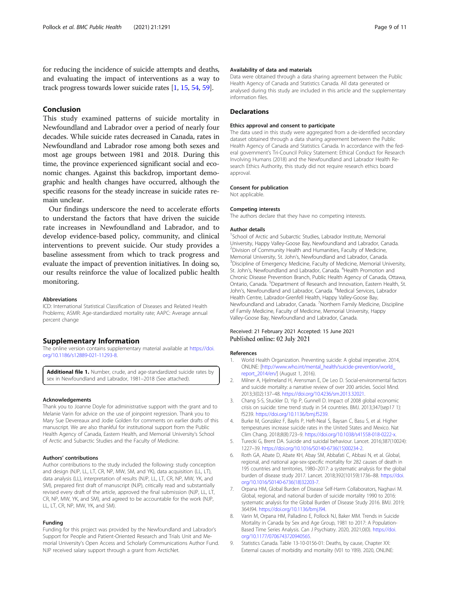<span id="page-8-0"></span>for reducing the incidence of suicide attempts and deaths, and evaluating the impact of interventions as a way to track progress towards lower suicide rates [1, [15,](#page-9-0) [54](#page-10-0), [59\]](#page-10-0).

# Conclusion

This study examined patterns of suicide mortality in Newfoundland and Labrador over a period of nearly four decades. While suicide rates decreased in Canada, rates in Newfoundland and Labrador rose among both sexes and most age groups between 1981 and 2018. During this time, the province experienced significant social and economic changes. Against this backdrop, important demographic and health changes have occurred, although the specific reasons for the steady increase in suicide rates remain unclear.

Our findings underscore the need to accelerate efforts to understand the factors that have driven the suicide rate increases in Newfoundland and Labrador, and to develop evidence-based policy, community, and clinical interventions to prevent suicide. Our study provides a baseline assessment from which to track progress and evaluate the impact of prevention initiatives. In doing so, our results reinforce the value of localized public health monitoring.

#### **Abbreviations**

ICD: International Statistical Classification of Diseases and Related Health Problems; ASMR: Age-standardized mortality rate; AAPC: Average annual percent change

# Supplementary Information

The online version contains supplementary material available at [https://doi.](https://doi.org/10.1186/s12889-021-11293-8) [org/10.1186/s12889-021-11293-8.](https://doi.org/10.1186/s12889-021-11293-8)

Additional file 1. Number, crude, and age-standardized suicide rates by sex in Newfoundland and Labrador, 1981–2018 (See attached).

#### Acknowledgements

Thank you to Joanne Doyle for administrative support with the grant and to Melanie Varin for advice on the use of joinpoint regression. Thank you to Mary Sue Devereaux and Jodie Golden for comments on earlier drafts of this manuscript. We are also thankful for institutional support from the Public Health Agency of Canada, Eastern Health, and Memorial University's School of Arctic and Subarctic Studies and the Faculty of Medicine.

#### Authors' contributions

Author contributions to the study included the following: study conception and design (NJP, LL, LT, CR, NP, MW, SM, and YK), data acquisition (LL, LT), data analysis (LL), interpretation of results (NJP, LL, LT, CR, NP, MW, YK, and SM), prepared first draft of manuscript (NJP), critically read and substantially revised every draft of the article, approved the final submission (NJP, LL, LT, CR, NP, MW, YK, and SM), and agreed to be accountable for the work (NJP, LL, LT, CR, NP, MW, YK, and SM).

#### Funding

Funding for this project was provided by the Newfoundland and Labrador's Support for People and Patient-Oriented Research and Trials Unit and Memorial University's Open Access and Scholarly Communications Author Fund. NJP received salary support through a grant from ArcticNet.

## Availability of data and materials

Data were obtained through a data sharing agreement between the Public Health Agency of Canada and Statistics Canada. All data generated or analysed during this study are included in this article and the supplementary information files.

#### **Declarations**

#### Ethics approval and consent to participate

The data used in this study were aggregated from a de-identified secondary dataset obtained through a data sharing agreement between the Public Health Agency of Canada and Statistics Canada. In accordance with the federal government's Tri-Council Policy Statement: Ethical Conduct for Research Involving Humans (2018) and the Newfoundland and Labrador Health Research Ethics Authority, this study did not require research ethics board approval.

#### Consent for publication

Not applicable.

#### Competing interests

The authors declare that they have no competing interests.

#### Author details

<sup>1</sup>School of Arctic and Subarctic Studies, Labrador Institute, Memorial University, Happy Valley-Goose Bay, Newfoundland and Labrador, Canada. 2 Division of Community Health and Humanities, Faculty of Medicine, Memorial University, St. John's, Newfoundland and Labrador, Canada. <sup>3</sup> <sup>3</sup> Discipline of Emergency Medicine, Faculty of Medicine, Memorial University, St. John's, Newfoundland and Labrador, Canada. <sup>4</sup>Health Promotion and Chronic Disease Prevention Branch, Public Health Agency of Canada, Ottawa, Ontario, Canada. <sup>5</sup>Department of Research and Innovation, Eastern Health, St. John's, Newfoundland and Labrador, Canada. <sup>6</sup>Medical Services, Labrador Health Centre, Labrador-Grenfell Health, Happy Valley-Goose Bay, Newfoundland and Labrador, Canada. <sup>7</sup>Northern Family Medicine, Discipline of Family Medicine, Faculty of Medicine, Memorial University, Happy Valley-Goose Bay, Newfoundland and Labrador, Canada.

# Received: 21 February 2021 Accepted: 15 June 2021 Published online: 02 July 2021

#### References

- 1. World Health Organization. Preventing suicide: A global imperative. 2014, ONLINE: [[http://www.who.int/mental\\_health/suicide-prevention/world\\_](http://www.who.int/mental_health/suicide-prevention/world_report_2014/en/) [report\\_2014/en/](http://www.who.int/mental_health/suicide-prevention/world_report_2014/en/)] (August 1, 2016).
- 2. Milner A, Hjelmeland H, Arensman E, De Leo D. Social-environmental factors and suicide mortality: a narrative review of over 200 articles. Sociol Mind. 2013;3(02):137–48. <https://doi.org/10.4236/sm.2013.32021>.
- 3. Chang S-S, Stuckler D, Yip P, Gunnell D. Impact of 2008 global economic crisis on suicide: time trend study in 54 countries. BMJ. 2013;347(sep17 1): f5239. [https://doi.org/10.1136/bmj.f5239.](https://doi.org/10.1136/bmj.f5239)
- 4. Burke M, González F, Baylis P, Heft-Neal S, Baysan C, Basu S, et al. Higher temperatures increase suicide rates in the United States and Mexico. Nat Clim Chang. 2018;8(8):723–9. [https://doi.org/10.1038/s41558-018-0222-x.](https://doi.org/10.1038/s41558-018-0222-x)
- Turecki G, Brent DA. Suicide and suicidal behaviour. Lancet. 2016;387(10024): 1227–39. [https://doi.org/10.1016/S0140-6736\(15\)00234-2](https://doi.org/10.1016/S0140-6736(15)00234-2).
- 6. Roth GA, Abate D, Abate KH, Abay SM, Abbafati C, Abbasi N, et al. Global, regional, and national age-sex-specific mortality for 282 causes of death in 195 countries and territories, 1980–2017: a systematic analysis for the global burden of disease study 2017. Lancet. 2018;392(10159):1736–88. [https://doi.](https://doi.org/10.1016/S0140-6736(18)32203-7) [org/10.1016/S0140-6736\(18\)32203-7.](https://doi.org/10.1016/S0140-6736(18)32203-7)
- 7. Orpana HM, Global Burden of Disease Self-Harm Collaborators, Naghavi M. Global, regional, and national burden of suicide mortality 1990 to 2016: systematic analysis for the Global Burden of Disease Study 2016. BMJ. 2019; 364:l94. [https://doi.org/10.1136/bmj.l94.](https://doi.org/10.1136/bmj.l94)
- 8. Varin M, Orpana HM, Palladino E, Pollock NJ, Baker MM. Trends in Suicide Mortality in Canada by Sex and Age Group, 1981 to 2017: A Population-Based Time Series Analysis. Can J Psychiatry. 2020, 2021;0(0). [https://doi.](https://doi.org/10.1177/0706743720940565) [org/10.1177/0706743720940565.](https://doi.org/10.1177/0706743720940565)
- 9. Statistics Canada. Table 13-10-0156-01: Deaths, by cause, Chapter XX: External causes of morbidity and mortality (V01 to Y89). 2020, ONLINE: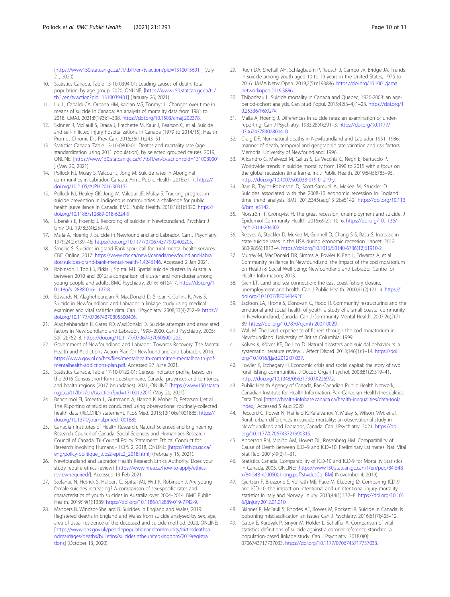<span id="page-9-0"></span>[<https://www150.statcan.gc.ca/t1/tbl1/en/tv.action?pid=1310015601> ] (July 21, 2020).

- 10. Statistics Canada. Table 13-10-0394-01: Leading causes of death, total population, by age group. 2020, ONLINE: [\[https://www150.statcan.gc.ca/t1/](https://www150.statcan.gc.ca/t1/tbl1/en/tv.action?pid=1310039401) [tbl1/en/tv.action?pid=1310039401\]](https://www150.statcan.gc.ca/t1/tbl1/en/tv.action?pid=1310039401) (January 26, 2021).
- 11. Liu L, Capaldi CA, Orpana HM, Kaplan MS, Tonmyr L. Changes over time in means of suicide in Canada: An analysis of mortality data from 1981 to 2018. CMAJ. 2021;8(193):1–338. <https://doi.org/10.1503/cmaj.202378>.
- 12. Skinner R, McFaull S, Draca J, Frechette M, Kaur J, Pearson C, et al. Suicide and self-inflicted injury hospitalizations in Canada (1979 to 2014/15). Health Promot Chronic Dis Prev Can. 2016;36(11):243–51.
- 13. Statistics Canada. Table 13-10-0800-01: Deaths and mortality rate (age standardization using 2011 population), by selected grouped causes. 2019, ONLINE: [<https://www150.statcan.gc.ca/t1/tbl1/en/cv.action?pid=1310080001> ] (May 20, 2021).
- 14. Pollock NJ, Mulay S, Valcour J, Jong M. Suicide rates in Aboriginal communities in Labrador, Canada. Am J Public Health. 2016:e1–7. [https://](https://doi.org/10.2105/AJPH.2016.303151) [doi.org/10.2105/AJPH.2016.303151](https://doi.org/10.2105/AJPH.2016.303151).
- 15. Pollock NJ, Healey GK, Jong M, Valcour JE, Mulay S. Tracking progress in suicide prevention in Indigenous communities: a challenge for public health surveillance in Canada. BMC Public Health. 2018;18(1):1320. [https://](https://doi.org/10.1186/s12889-018-6224-9) [doi.org/10.1186/s12889-018-6224-9](https://doi.org/10.1186/s12889-018-6224-9).
- 16. Liberakis E, Hoenig J. Recording of suicide in Newfoundland. Psychiatr J Univ Ott. 1978;3(4):254–9.
- 17. Malla A, Hoenig J. Suicide in Newfoundland and Labrador. Can J Psychiatry. 1979;24(2):139–46. <https://doi.org/10.1177/070674377902400205>.
- 18. Smellie S. Suicides in grand Bank spark call for rural mental health services: CBC. Online; 2017. [https://www.cbc.ca/news/canada/newfoundland-labra](https://www.cbc.ca/news/canada/newfoundland-labrador/suicides-grand-bank-mental-health-1.4246146) [dor/suicides-grand-bank-mental-health-1.4246146](https://www.cbc.ca/news/canada/newfoundland-labrador/suicides-grand-bank-mental-health-1.4246146). Accessed 2 Jan 2021.
- 19. Robinson J, Too LS, Pirkis J, Spittal MJ. Spatial suicide clusters in Australia between 2010 and 2012: a comparison of cluster and non-cluster among young people and adults. BMC Psychiatry. 2016;16(1):417. [https://doi.org/1](https://doi.org/10.1186/s12888-016-1127-8) [0.1186/s12888-016-1127-8.](https://doi.org/10.1186/s12888-016-1127-8)
- 20. Edwards N, Alaghehbandan R, MacDonald D, Sikdar K, Collins K, Avis S. Suicide in Newfoundland and Labrador: a linkage study using medical examiner and vital statistics data. Can J Psychiatry. 2008;53(4):252–9. [https://](https://doi.org/10.1177/070674370805300406) [doi.org/10.1177/070674370805300406.](https://doi.org/10.1177/070674370805300406)
- 21. Alaghehbandan R, Gates KD, MacDonald D. Suicide attempts and associated factors in Newfoundland and Labrador, 1998–2000. Can J Psychiatry. 2005; 50(12):762–8. <https://doi.org/10.1177/070674370505001205>.
- 22. Government of Newfoundland and Labrador. Towards Recovery: The Mental Health and Addictions Action Plan for Newfoundland and Labrador. 2016. [https://www.gov.nl.ca/hcs/files/mentalhealth-committee-mentalhealth-pdf](https://www.gov.nl.ca/hcs/files/mentalhealth-committee-mentalhealth-pdf-mentalhealth-addictions-plan.pdf)[mentalhealth-addictions-plan.pdf.](https://www.gov.nl.ca/hcs/files/mentalhealth-committee-mentalhealth-pdf-mentalhealth-addictions-plan.pdf) Accessed 27 June 2021.
- 23. Statistics Canada. Table 17-10-0122-01: Census indicator profile, based on the 2016 Census short-form questionnaire, Canada, provinces and territories, and health regions (2017 boundaries). 2021, ONLINE: [\[https://www150.statca](https://www150.statcan.gc.ca/t1/tbl1/en/tv.action?pid=1710012201) [n.gc.ca/t1/tbl1/en/tv.action?pid=1710012201\]](https://www150.statcan.gc.ca/t1/tbl1/en/tv.action?pid=1710012201) (May 20, 2021).
- 24. Benchimol EI, Smeeth L, Guttmann A, Harron K, Moher D, Petersen I, et al. The REporting of studies conducted using observational routinely-collected health data (RECORD) statement. PLoS Med. 2015;12(10):e1001885. [https://](https://doi.org/10.1371/journal.pmed.1001885) [doi.org/10.1371/journal.pmed.1001885.](https://doi.org/10.1371/journal.pmed.1001885)
- 25. Canadian Institutes of Health Research, Natural Sciences and Engineering Research Council of Canada, Social Sciences and Humanities Research Council of Canada. Tri-Council Policy Statement: Ethical Conduct for Research Involving Humans - TCPS 2. 2018, ONLINE: [[https://ethics.gc.ca/](https://ethics.gc.ca/eng/policy-politique_tcps2-eptc2_2018.html) [eng/policy-politique\\_tcps2-eptc2\\_2018.html\]](https://ethics.gc.ca/eng/policy-politique_tcps2-eptc2_2018.html) (February 15, 2021).
- 26. Newfoundland and Labrador Health Research Ethics Authority. Does your study require ethics review? [\[https://www.hrea.ca/how-to-apply/ethics](https://www.hrea.ca/how-to-apply/ethics-review-required/)[review-required/\]](https://www.hrea.ca/how-to-apply/ethics-review-required/). Accessed 13 Feb 2021.
- 27. Stefanac N, Hetrick S, Hulbert C, Spittal MJ, Witt K, Robinson J. Are young female suicides increasing? A comparison of sex-specific rates and characteristics of youth suicides in Australia over 2004–2014. BMC Public Health. 2019;19(1):1389. [https://doi.org/10.1186/s12889-019-7742-9.](https://doi.org/10.1186/s12889-019-7742-9)
- 28. Manders B, Windsor-Shellard B. Suicides in England and Wales, 2019: Registered deaths in England and Wales from suicide analysed by sex, age, area of usual residence of the deceased and suicide method. 2020, ONLINE: [[https://www.ons.gov.uk/peoplepopulationandcommunity/birthsdeathsa](https://www.ons.gov.uk/peoplepopulationandcommunity/birthsdeathsandmarriages/deaths/bulletins/suicidesintheunitedkingdom/2019registrations) [ndmarriages/deaths/bulletins/suicidesintheunitedkingdom/2019registra](https://www.ons.gov.uk/peoplepopulationandcommunity/birthsdeathsandmarriages/deaths/bulletins/suicidesintheunitedkingdom/2019registrations) [tions](https://www.ons.gov.uk/peoplepopulationandcommunity/birthsdeathsandmarriages/deaths/bulletins/suicidesintheunitedkingdom/2019registrations)] (October 13, 2020).
- 29. Ruch DA, Sheftall AH, Schlagbaum P, Rausch J, Campo JV, Bridge JA. Trends in suicide among youth aged 10 to 19 years in the United States, 1975 to 2016. JAMA Netw Open. 2019;2(5):e193886. [https://doi.org/10.1001/jama](https://doi.org/10.1001/jamanetworkopen.2019.3886) [networkopen.2019.3886.](https://doi.org/10.1001/jamanetworkopen.2019.3886)
- 30. Thibodeau L. Suicide mortality in Canada and Quebec, 1926-2008: an ageperiod-cohort analysis. Can Stud Popul. 2015;42(3–4):1–23. [https://doi.org/1](https://doi.org/10.25336/P6XG7V) [0.25336/P6XG7V](https://doi.org/10.25336/P6XG7V)
- 31. Malla A, Hoenig J. Differences in suicide rates: an examination of underreporting. Can J Psychiatry. 1983;28(4):291–3. [https://doi.org/10.1177/](https://doi.org/10.1177/070674378302800410) [070674378302800410](https://doi.org/10.1177/070674378302800410).
- 32. Craig DF. Non-natural deaths in Newfoundland and Labrador 1951–1986: manner of death, temporal and geographic rate variation and risk factors: Memorial University of Newfoundland; 1996.
- 33. Alicandro G, Malvezzi M, Gallus S, La Vecchia C, Negri E, Bertuccio P. Worldwide trends in suicide mortality from 1990 to 2015 with a focus on the global recession time frame. Int J Public Health. 2019;64(5):785–95. <https://doi.org/10.1007/s00038-019-01219-y>.
- 34. Barr B, Taylor-Robinson D, Scott-Samuel A, McKee M, Stuckler D. Suicides associated with the 2008-10 economic recession in England: time trend analysis. BMJ. 2012;345(aug13 2):e5142. [https://doi.org/10.113](https://doi.org/10.1136/bmj.e5142) [6/bmj.e5142.](https://doi.org/10.1136/bmj.e5142)
- 35. Norström T, Grönqvist H. The great recession, unemployment and suicide. J Epidemiol Community Health. 2015;69(2):110–6. [https://doi.org/10.1136/](https://doi.org/10.1136/jech-2014-204602) [jech-2014-204602.](https://doi.org/10.1136/jech-2014-204602)
- 36. Reeves A, Stuckler D, McKee M, Gunnell D, Chang S-S, Basu S. Increase in state suicide rates in the USA during economic recession. Lancet. 2012; 380(9856):1813–4. [https://doi.org/10.1016/S0140-6736\(12\)61910-2](https://doi.org/10.1016/S0140-6736(12)61910-2).
- 37. Murray M, MacDonald DR, Simms A, Fowler K, Felt L, Edwards A, et al. Community resilience in Newfoundland: the impact of the cod moratorium on Health & Social Well-being: Newfoundland and Labrador Centre for Health Information; 2013.
- 38. Gien LT. Land and sea connection: the east coast fishery closure, unemployment and health. Can J Public Health. 2000;91(2):121–4. [https://](https://doi.org/10.1007/BF03404926) [doi.org/10.1007/BF03404926](https://doi.org/10.1007/BF03404926).
- 39. Jackson LA, Tirone S, Donovan C, Hood R. Community restructuring and the emotional and social health of youth: a study of a small coastal community in Newfoundland, Canada. Can J Community Mental Health. 2007;26(2):71– 89. [https://doi.org/10.7870/cjcmh-2007-0029.](https://doi.org/10.7870/cjcmh-2007-0029)
- 40. Wall M. The lived experience of fishers through the cod moratorium in Newfoundland: University of British Columbia; 1999.
- 41. Kõlves K, Kõlves KE, De Leo D. Natural disasters and suicidal behaviours: a systematic literature review. J Affect Disord. 2013;146(1):1-14. [https://doi.](https://doi.org/10.1016/j.jad.2012.07.037) [org/10.1016/j.jad.2012.07.037](https://doi.org/10.1016/j.jad.2012.07.037).
- 42. Fowler K, Etchegary H. Economic crisis and social capital: the story of two rural fishing communities. J Occup Organ Psychol. 2008;81(2):319–41. [https://doi.org/10.1348/096317907X226972.](https://doi.org/10.1348/096317907X226972)
- 43. Public Health Agency of Canada, Pan-Canadian Public Health Network, Canadian Institute for Health Information. Pan-Canadian Health Inequalities Data Tool [\[https://health-infobase.canada.ca/health-inequalities/data-tool/](https://health-infobase.canada.ca/health-inequalities/data-tool/index) [index](https://health-infobase.canada.ca/health-inequalities/data-tool/index)]. Accessed 5 Aug 2020.
- 44. Reccord C, Power N, Hatfield K, Karaivanov Y, Mulay S, Wilson MM, et al. Rural–urban differences in suicide mortality: an observational study in Newfoundland and Labrador, Canada. Can J Psychiatry. 2021. [https://doi.](https://doi.org/10.1177/0706743721990315) [org/10.1177/0706743721990315.](https://doi.org/10.1177/0706743721990315)
- 45. Anderson RN, Miniño AM, Hoyert DL, Rosenberg HM. Comparability of Cause of Death Between ICD–9 and ICD–10: Preliminary Estimates. Natl Vital Stat Rep. 2001;49(2):1–31.
- 46. Statistics Canada. Comparability of ICD-10 and ICD-9 for Mortality Statistics in Canada. 2005, ONLINE: [[https://www150.statcan.gc.ca/n1/en/pub/84-548](https://www150.statcan.gc.ca/n1/en/pub/84-548-x/84-548-x2005001-eng.pdf?st=dusCq_BM) [x/84-548-x2005001-eng.pdf?st=dusCq\\_BM\]](https://www150.statcan.gc.ca/n1/en/pub/84-548-x/84-548-x2005001-eng.pdf?st=dusCq_BM) (November 4, 2019).
- 47. Gjertsen F, Bruzzone S, Vollrath ME, Pace M, Ekeberg Ø. Comparing ICD-9 and ICD-10: the impact on intentional and unintentional injury mortality statistics in Italy and Norway. Injury. 2013;44(1):132–8. [https://doi.org/10.101](https://doi.org/10.1016/j.injury.2012.01.010) [6/j.injury.2012.01.010](https://doi.org/10.1016/j.injury.2012.01.010).
- 48. Skinner R, McFaull S, Rhodes AE, Bowes M, Rockett IR. Suicide in Canada: is poisoning misclassification an issue? Can J Psychiatry. 2016:61(7);405–12.
- 49. Gatov E, Kurdyak P, Sinyor M, Holder L, Schaffer A. Comparison of vital statistics definitions of suicide against a coroner reference standard: a population-based linkage study. Can J Psychiatry. 2018;0(0): 0706743717737033. <https://doi.org/10.1177/0706743717737033>.